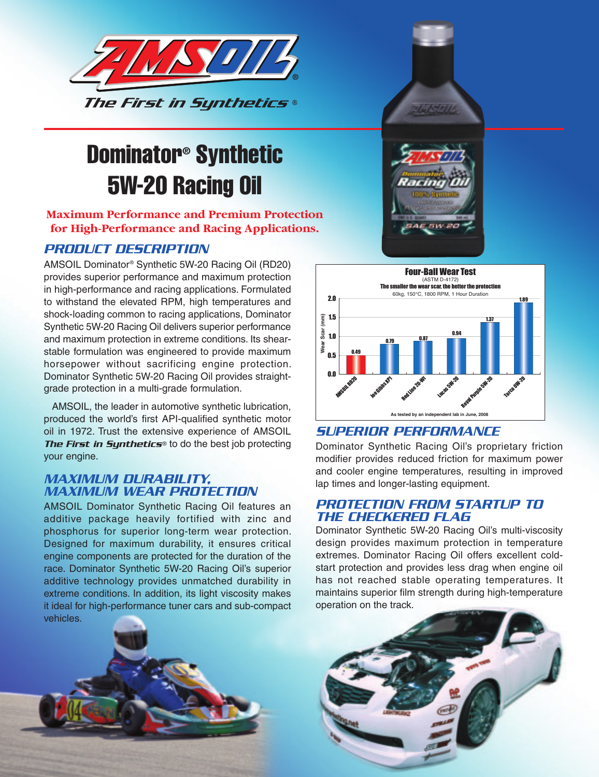

# Dominator® Synthetic 5W-20 Racing Oil

## **Maximum Performance and Premium Protection for High-Performance and Racing Applications.**

# *PRODUCT DESCRIPTION*

AMSOIL Dominator® Synthetic 5W-20 Racing Oil (RD20) provides superior performance and maximum protection in high-performance and racing applications. Formulated to withstand the elevated RPM, high temperatures and shock-loading common to racing applications, Dominator Synthetic 5W-20 Racing Oil delivers superior performance and maximum protection in extreme conditions. Its shearstable formulation was engineered to provide maximum horsepower without sacrificing engine protection. Dominator Synthetic 5W-20 Racing Oil provides straightgrade protection in a multi-grade formulation.

 AMSOIL, the leader in automotive synthetic lubrication, produced the world's first API-qualified synthetic motor oil in 1972. Trust the extensive experience of AMSOIL **The First in Synthetics<sup>®</sup> to do the best job protecting** your engine.

#### *MAXIMUM DURABILITY, MAXIMUM WEAR PROTECTION*

AMSOIL Dominator Synthetic Racing Oil features an additive package heavily fortified with zinc and phosphorus for superior long-term wear protection. Designed for maximum durability, it ensures critical engine components are protected for the duration of the race. Dominator Synthetic 5W-20 Racing Oil's superior additive technology provides unmatched durability in extreme conditions. In addition, its light viscosity makes it ideal for high-performance tuner cars and sub-compact vehicles.





# *SUPERIOR PERFORMANCE*

Dominator Synthetic Racing Oil's proprietary friction modifier provides reduced friction for maximum power and cooler engine temperatures, resulting in improved lap times and longer-lasting equipment.

#### *PROTECTION FROM STARTUP TO THE CHECKERED FLAG*

Dominator Synthetic 5W-20 Racing Oil's multi-viscosity design provides maximum protection in temperature extremes. Dominator Racing Oil offers excellent coldstart protection and provides less drag when engine oil has not reached stable operating temperatures. It maintains superior film strength during high-temperature operation on the track.